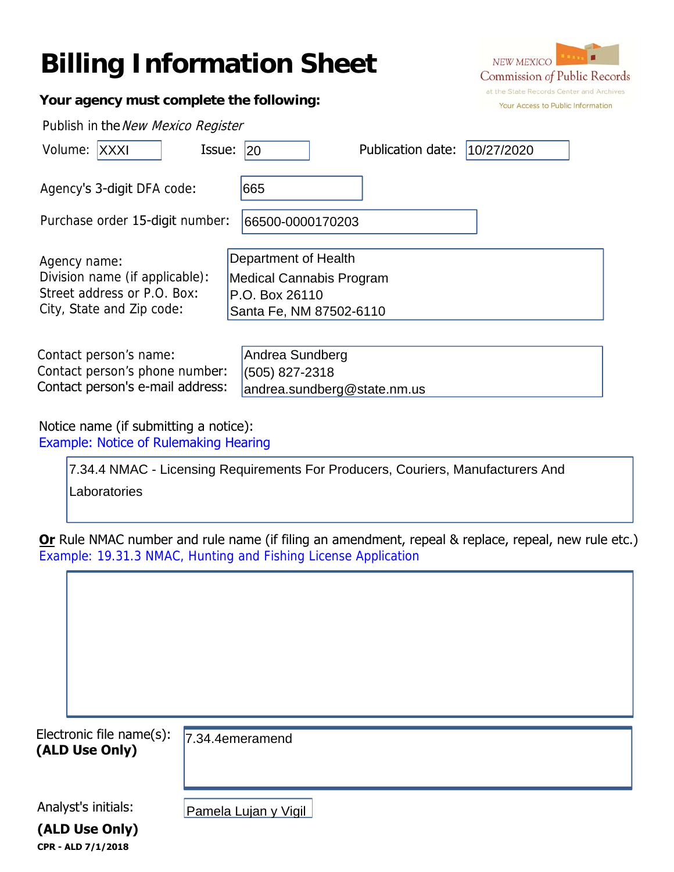## **Billing Information Sheet**



| Your agency must complete the following:                                                                   |                                                                                               | Your Access to Public Infor |
|------------------------------------------------------------------------------------------------------------|-----------------------------------------------------------------------------------------------|-----------------------------|
| Publish in the New Mexico Register                                                                         |                                                                                               |                             |
| Issue:<br>Volume: XXXI                                                                                     | Publication date:<br>20                                                                       | 10/27/2020                  |
| Agency's 3-digit DFA code:                                                                                 | 665                                                                                           |                             |
| Purchase order 15-digit number:                                                                            | 66500-0000170203                                                                              |                             |
| Agency name:<br>Division name (if applicable):<br>Street address or P.O. Box:<br>City, State and Zip code: | Department of Health<br>Medical Cannabis Program<br>P.O. Box 26110<br>Santa Fe, NM 87502-6110 |                             |
| Contact person's name:<br>Contact person's phone number:<br>Contact person's e-mail address:               | Andrea Sundberg<br>(505) 827-2318<br>andrea.sundberg@state.nm.us                              |                             |

Notice name (if submitting a notice): Example: Notice of Rulemaking Hearing

| 7.34.4 NMAC - Licensing Requirements For Producers, Couriers, Manufacturers And |  |
|---------------------------------------------------------------------------------|--|
| Laboratories                                                                    |  |

**Or** Rule NMAC number and rule name (if filing an amendment, repeal & replace, repeal, new rule etc.) Example: 19.31.3 NMAC, Hunting and Fishing License Application

| Electronic file name(s): |                      |
|--------------------------|----------------------|
| (ALD Use Only)           | 7.34.4emeramend      |
|                          |                      |
|                          |                      |
| Analyst's initials:      |                      |
|                          | Pamela Lujan y Vigil |
| (ALD Use Only)           |                      |
| CPR - ALD 7/1/2018       |                      |